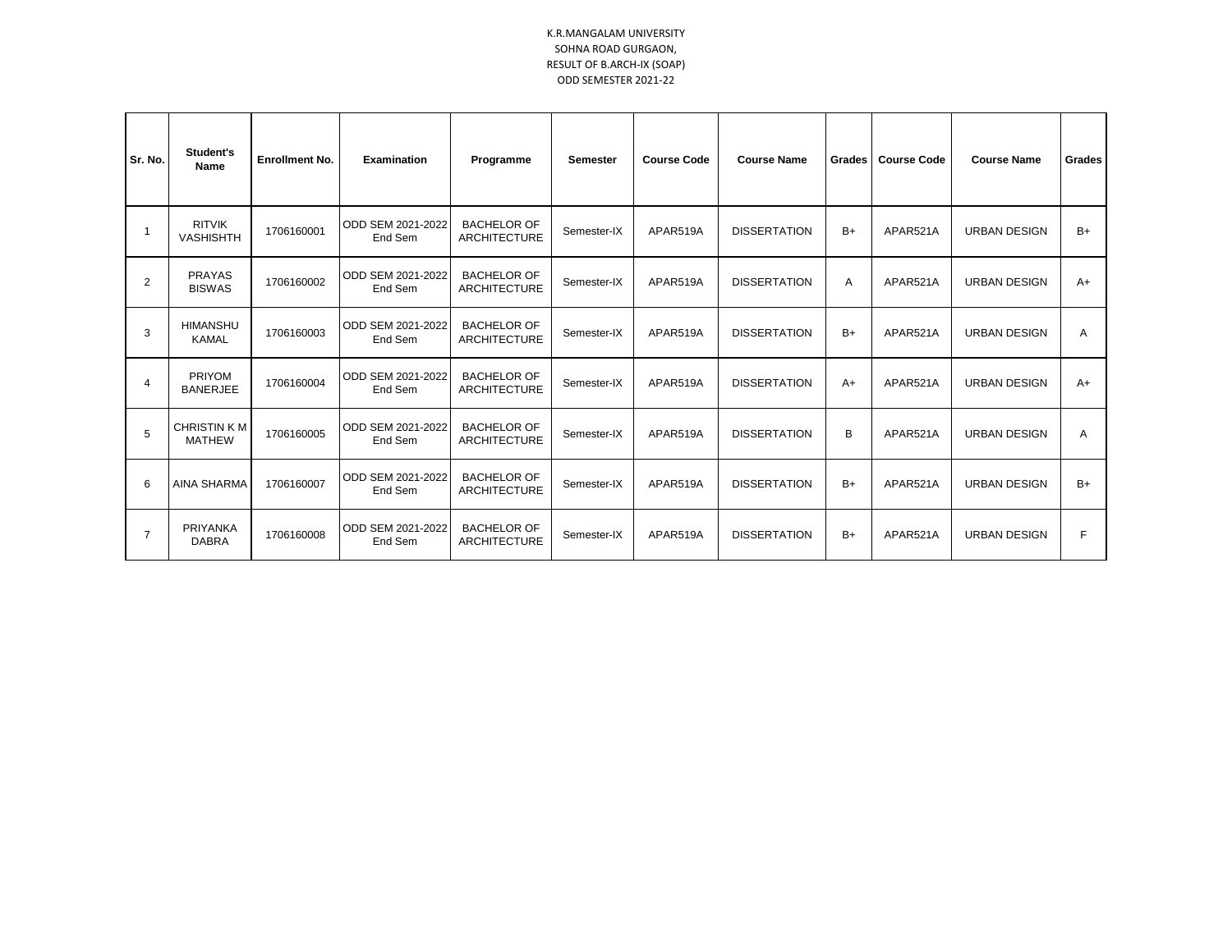## K.R.MANGALAM UNIVERSITY SOHNA ROAD GURGAON, RESULT OF B.ARCH-IX (SOAP) ODD SEMESTER 2021-22

| Sr. No.        | Student's<br>Name                   | <b>Enrollment No.</b> | <b>Examination</b>           | Programme                                 | <b>Semester</b> | <b>Course Code</b> | <b>Course Name</b>  | Grades | <b>Course Code</b> | <b>Course Name</b>  | Grades |
|----------------|-------------------------------------|-----------------------|------------------------------|-------------------------------------------|-----------------|--------------------|---------------------|--------|--------------------|---------------------|--------|
| -1             | <b>RITVIK</b><br><b>VASHISHTH</b>   | 1706160001            | ODD SEM 2021-2022<br>End Sem | <b>BACHELOR OF</b><br><b>ARCHITECTURE</b> | Semester-IX     | APAR519A           | <b>DISSERTATION</b> | $B+$   | APAR521A           | <b>URBAN DESIGN</b> | $B+$   |
| $\overline{2}$ | <b>PRAYAS</b><br><b>BISWAS</b>      | 1706160002            | ODD SEM 2021-2022<br>End Sem | <b>BACHELOR OF</b><br><b>ARCHITECTURE</b> | Semester-IX     | APAR519A           | <b>DISSERTATION</b> | Α      | APAR521A           | <b>URBAN DESIGN</b> | $A+$   |
| 3              | <b>HIMANSHU</b><br><b>KAMAL</b>     | 1706160003            | ODD SEM 2021-2022<br>End Sem | <b>BACHELOR OF</b><br><b>ARCHITECTURE</b> | Semester-IX     | APAR519A           | <b>DISSERTATION</b> | $B+$   | APAR521A           | <b>URBAN DESIGN</b> | A      |
| $\overline{4}$ | <b>PRIYOM</b><br><b>BANERJEE</b>    | 1706160004            | ODD SEM 2021-2022<br>End Sem | <b>BACHELOR OF</b><br><b>ARCHITECTURE</b> | Semester-IX     | APAR519A           | <b>DISSERTATION</b> | $A+$   | APAR521A           | <b>URBAN DESIGN</b> | $A+$   |
| 5              | <b>CHRISTIN KM</b><br><b>MATHEW</b> | 1706160005            | ODD SEM 2021-2022<br>End Sem | <b>BACHELOR OF</b><br><b>ARCHITECTURE</b> | Semester-IX     | APAR519A           | <b>DISSERTATION</b> | B      | APAR521A           | <b>URBAN DESIGN</b> | A      |
| 6              | <b>AINA SHARMA</b>                  | 1706160007            | ODD SEM 2021-2022<br>End Sem | <b>BACHELOR OF</b><br><b>ARCHITECTURE</b> | Semester-IX     | APAR519A           | <b>DISSERTATION</b> | $B+$   | APAR521A           | <b>URBAN DESIGN</b> | $B+$   |
| $\overline{7}$ | PRIYANKA<br><b>DABRA</b>            | 1706160008            | ODD SEM 2021-2022<br>End Sem | <b>BACHELOR OF</b><br><b>ARCHITECTURE</b> | Semester-IX     | APAR519A           | <b>DISSERTATION</b> | $B+$   | APAR521A           | <b>URBAN DESIGN</b> | F      |